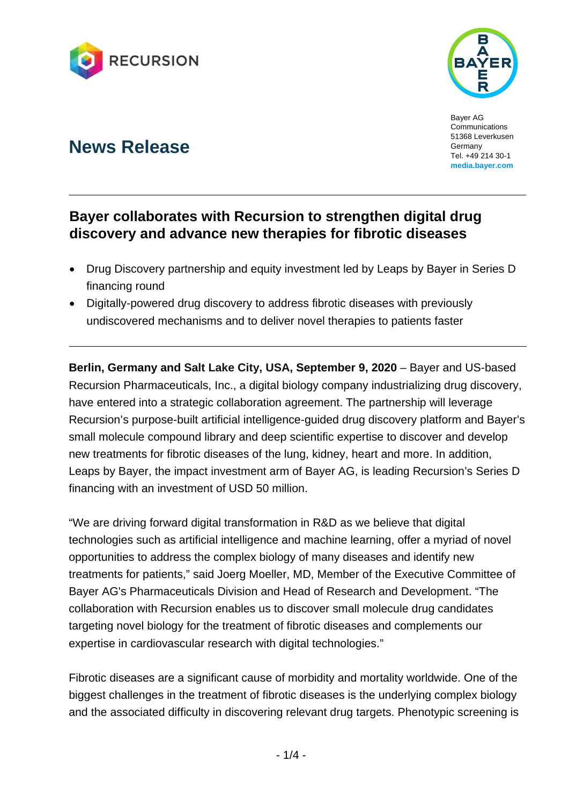



Bayer AG Communications 51368 Leverkusen Germany Tel. +49 214 30-1 **media.bayer.com**

# **News Release**

# **Bayer collaborates with Recursion to strengthen digital drug discovery and advance new therapies for fibrotic diseases**

- Drug Discovery partnership and equity investment led by Leaps by Bayer in Series D financing round
- Digitally-powered drug discovery to address fibrotic diseases with previously undiscovered mechanisms and to deliver novel therapies to patients faster

**Berlin, Germany and Salt Lake City, USA, September 9, 2020** – Bayer and US-based Recursion Pharmaceuticals, Inc., a digital biology company industrializing drug discovery, have entered into a strategic collaboration agreement. The partnership will leverage Recursion's purpose-built artificial intelligence-guided drug discovery platform and Bayer's small molecule compound library and deep scientific expertise to discover and develop new treatments for fibrotic diseases of the lung, kidney, heart and more. In addition, Leaps by Bayer, the impact investment arm of Bayer AG, is leading Recursion's Series D financing with an investment of USD 50 million.

"We are driving forward digital transformation in R&D as we believe that digital technologies such as artificial intelligence and machine learning, offer a myriad of novel opportunities to address the complex biology of many diseases and identify new treatments for patients," said Joerg Moeller, MD, Member of the Executive Committee of Bayer AG's Pharmaceuticals Division and Head of Research and Development. "The collaboration with Recursion enables us to discover small molecule drug candidates targeting novel biology for the treatment of fibrotic diseases and complements our expertise in cardiovascular research with digital technologies."

Fibrotic diseases are a significant cause of morbidity and mortality worldwide. One of the biggest challenges in the treatment of fibrotic diseases is the underlying complex biology and the associated difficulty in discovering relevant drug targets. Phenotypic screening is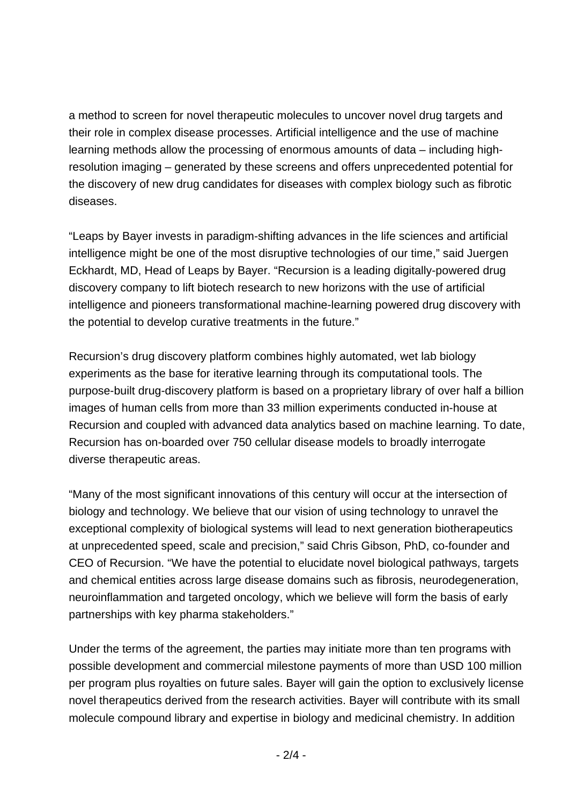a method to screen for novel therapeutic molecules to uncover novel drug targets and their role in complex disease processes. Artificial intelligence and the use of machine learning methods allow the processing of enormous amounts of data – including highresolution imaging – generated by these screens and offers unprecedented potential for the discovery of new drug candidates for diseases with complex biology such as fibrotic diseases.

"Leaps by Bayer invests in paradigm-shifting advances in the life sciences and artificial intelligence might be one of the most disruptive technologies of our time," said Juergen Eckhardt, MD, Head of Leaps by Bayer. "Recursion is a leading digitally-powered drug discovery company to lift biotech research to new horizons with the use of artificial intelligence and pioneers transformational machine-learning powered drug discovery with the potential to develop curative treatments in the future."

Recursion's drug discovery platform combines highly automated, wet lab biology experiments as the base for iterative learning through its computational tools. The purpose-built drug-discovery platform is based on a proprietary library of over half a billion images of human cells from more than 33 million experiments conducted in-house at Recursion and coupled with advanced data analytics based on machine learning. To date, Recursion has on-boarded over 750 cellular disease models to broadly interrogate diverse therapeutic areas.

"Many of the most significant innovations of this century will occur at the intersection of biology and technology. We believe that our vision of using technology to unravel the exceptional complexity of biological systems will lead to next generation biotherapeutics at unprecedented speed, scale and precision," said Chris Gibson, PhD, co-founder and CEO of Recursion. "We have the potential to elucidate novel biological pathways, targets and chemical entities across large disease domains such as fibrosis, neurodegeneration, neuroinflammation and targeted oncology, which we believe will form the basis of early partnerships with key pharma stakeholders."

Under the terms of the agreement, the parties may initiate more than ten programs with possible development and commercial milestone payments of more than USD 100 million per program plus royalties on future sales. Bayer will gain the option to exclusively license novel therapeutics derived from the research activities. Bayer will contribute with its small molecule compound library and expertise in biology and medicinal chemistry. In addition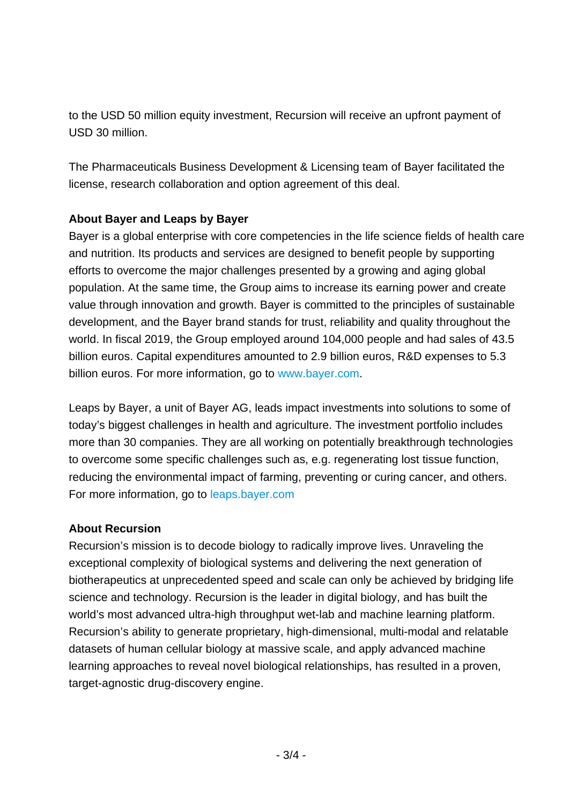to the USD 50 million equity investment, Recursion will receive an upfront payment of USD 30 million.

The Pharmaceuticals Business Development & Licensing team of Bayer facilitated the license, research collaboration and option agreement of this deal.

## **About Bayer and Leaps by Bayer**

Bayer is a global enterprise with core competencies in the life science fields of health care and nutrition. Its products and services are designed to benefit people by supporting efforts to overcome the major challenges presented by a growing and aging global population. At the same time, the Group aims to increase its earning power and create value through innovation and growth. Bayer is committed to the principles of sustainable development, and the Bayer brand stands for trust, reliability and quality throughout the world. In fiscal 2019, the Group employed around 104,000 people and had sales of 43.5 billion euros. Capital expenditures amounted to 2.9 billion euros, R&D expenses to 5.3 billion euros. For more information, go to [www.bayer.com.](http://www.bayer.com/)

Leaps by Bayer, a unit of Bayer AG, leads impact investments into solutions to some of today's biggest challenges in health and agriculture. The investment portfolio includes more than 30 companies. They are all working on potentially breakthrough technologies to overcome some specific challenges such as, e.g. regenerating lost tissue function, reducing the environmental impact of farming, preventing or curing cancer, and others. For more information, go to [leaps.bayer.com](https://leaps.bayer.com/)

### **About Recursion**

Recursion's mission is to decode biology to radically improve lives. Unraveling the exceptional complexity of biological systems and delivering the next generation of biotherapeutics at unprecedented speed and scale can only be achieved by bridging life science and technology. Recursion is the leader in digital biology, and has built the world's most advanced ultra-high throughput wet-lab and machine learning platform. Recursion's ability to generate proprietary, high-dimensional, multi-modal and relatable datasets of human cellular biology at massive scale, and apply advanced machine learning approaches to reveal novel biological relationships, has resulted in a proven, target-agnostic drug-discovery engine.